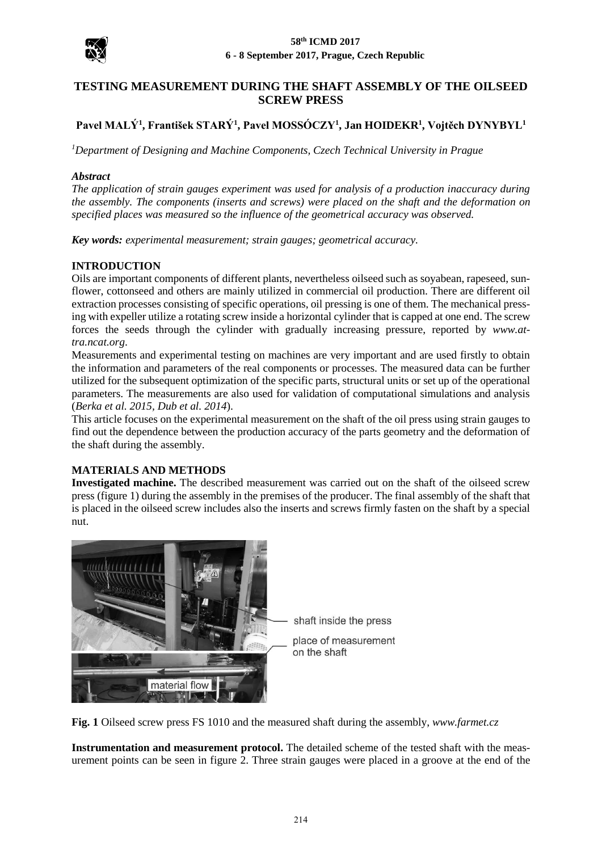

# **TESTING MEASUREMENT DURING THE SHAFT ASSEMBLY OF THE OILSEED SCREW PRESS**

# **Pavel MALÝ<sup>1</sup> , František STARÝ<sup>1</sup> , Pavel MOSSÓCZY<sup>1</sup> , Jan HOIDEKR<sup>1</sup> , Vojtěch DYNYBYL<sup>1</sup>**

*<sup>1</sup>Department of Designing and Machine Components, Czech Technical University in Prague*

## *Abstract*

*The application of strain gauges experiment was used for analysis of a production inaccuracy during the assembly. The components (inserts and screws) were placed on the shaft and the deformation on specified places was measured so the influence of the geometrical accuracy was observed.*

*Key words: experimental measurement; strain gauges; geometrical accuracy.*

## **INTRODUCTION**

Oils are important components of different plants, nevertheless oilseed such as soyabean, rapeseed, sunflower, cottonseed and others are mainly utilized in commercial oil production. There are different oil extraction processes consisting of specific operations, oil pressing is one of them. The mechanical pressing with expeller utilize a rotating screw inside a horizontal cylinder that is capped at one end. The screw forces the seeds through the cylinder with gradually increasing pressure, reported by *www.attra.ncat.org*.

Measurements and experimental testing on machines are very important and are used firstly to obtain the information and parameters of the real components or processes. The measured data can be further utilized for the subsequent optimization of the specific parts, structural units or set up of the operational parameters. The measurements are also used for validation of computational simulations and analysis (*Berka et al. 2015, Dub et al. 2014*).

This article focuses on the experimental measurement on the shaft of the oil press using strain gauges to find out the dependence between the production accuracy of the parts geometry and the deformation of the shaft during the assembly.

## **MATERIALS AND METHODS**

**Investigated machine.** The described measurement was carried out on the shaft of the oilseed screw press (figure 1) during the assembly in the premises of the producer. The final assembly of the shaft that is placed in the oilseed screw includes also the inserts and screws firmly fasten on the shaft by a special nut.



shaft inside the press place of measurement on the shaft

**Fig. 1** Oilseed screw press FS 1010 and the measured shaft during the assembly, *www.farmet.cz*

**Instrumentation and measurement protocol.** The detailed scheme of the tested shaft with the measurement points can be seen in figure 2. Three strain gauges were placed in a groove at the end of the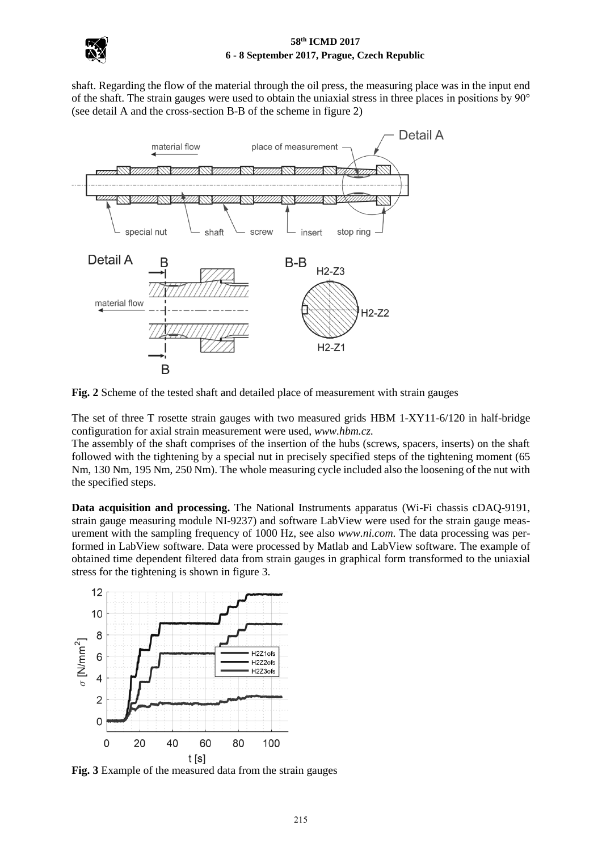

#### **58th ICMD 2017 6 - 8 September 2017, Prague, Czech Republic**

shaft. Regarding the flow of the material through the oil press, the measuring place was in the input end of the shaft. The strain gauges were used to obtain the uniaxial stress in three places in positions by 90° (see detail A and the cross-section B-B of the scheme in figure 2)



**Fig. 2** Scheme of the tested shaft and detailed place of measurement with strain gauges

The set of three T rosette strain gauges with two measured grids HBM 1-XY11-6/120 in half-bridge configuration for axial strain measurement were used, *www.hbm.cz.*

The assembly of the shaft comprises of the insertion of the hubs (screws, spacers, inserts) on the shaft followed with the tightening by a special nut in precisely specified steps of the tightening moment (65 Nm, 130 Nm, 195 Nm, 250 Nm). The whole measuring cycle included also the loosening of the nut with the specified steps.

**Data acquisition and processing.** The National Instruments apparatus (Wi-Fi chassis cDAQ-9191, strain gauge measuring module NI-9237) and software LabView were used for the strain gauge measurement with the sampling frequency of 1000 Hz, see also *www.ni.com*. The data processing was performed in LabView software. Data were processed by Matlab and LabView software. The example of obtained time dependent filtered data from strain gauges in graphical form transformed to the uniaxial stress for the tightening is shown in figure 3.



**Fig. 3** Example of the measured data from the strain gauges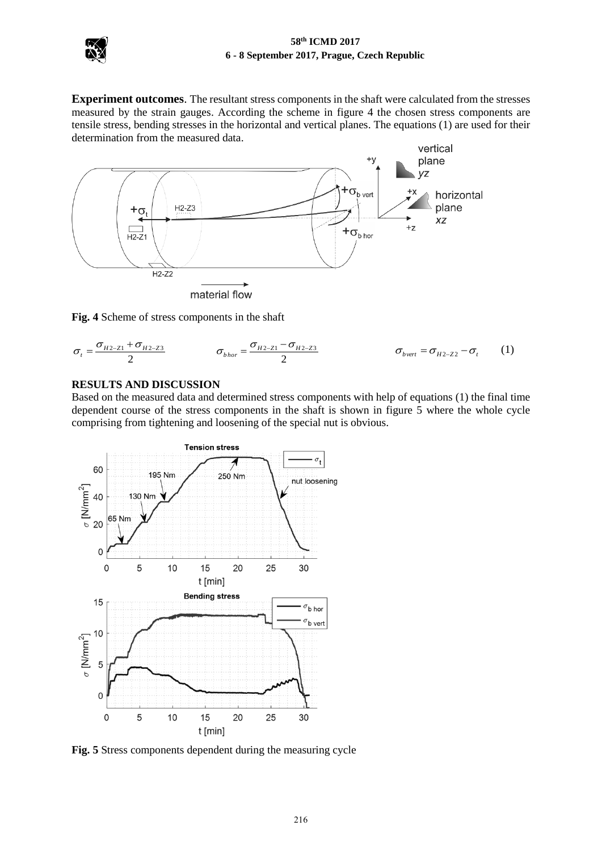

**Experiment outcomes**. The resultant stress components in the shaft were calculated from the stresses measured by the strain gauges. According the scheme in figure 4 the chosen stress components are tensile stress, bending stresses in the horizontal and vertical planes. The equations (1) are used for their determination from the measured data.



**Fig. 4** Scheme of stress components in the shaft

$$
\sigma_{t} = \frac{\sigma_{H2-Z1} + \sigma_{H2-Z3}}{2} \qquad \qquad \sigma_{bhor} = \frac{\sigma_{H2-Z1} - \sigma_{H2-Z3}}{2} \qquad \qquad \sigma_{bvert} = \sigma_{H2-Z2} - \sigma_{t} \qquad (1)
$$

#### **RESULTS AND DISCUSSION**

Based on the measured data and determined stress components with help of equations (1) the final time dependent course of the stress components in the shaft is shown in figure 5 where the whole cycle comprising from tightening and loosening of the special nut is obvious.



**Fig. 5** Stress components dependent during the measuring cycle